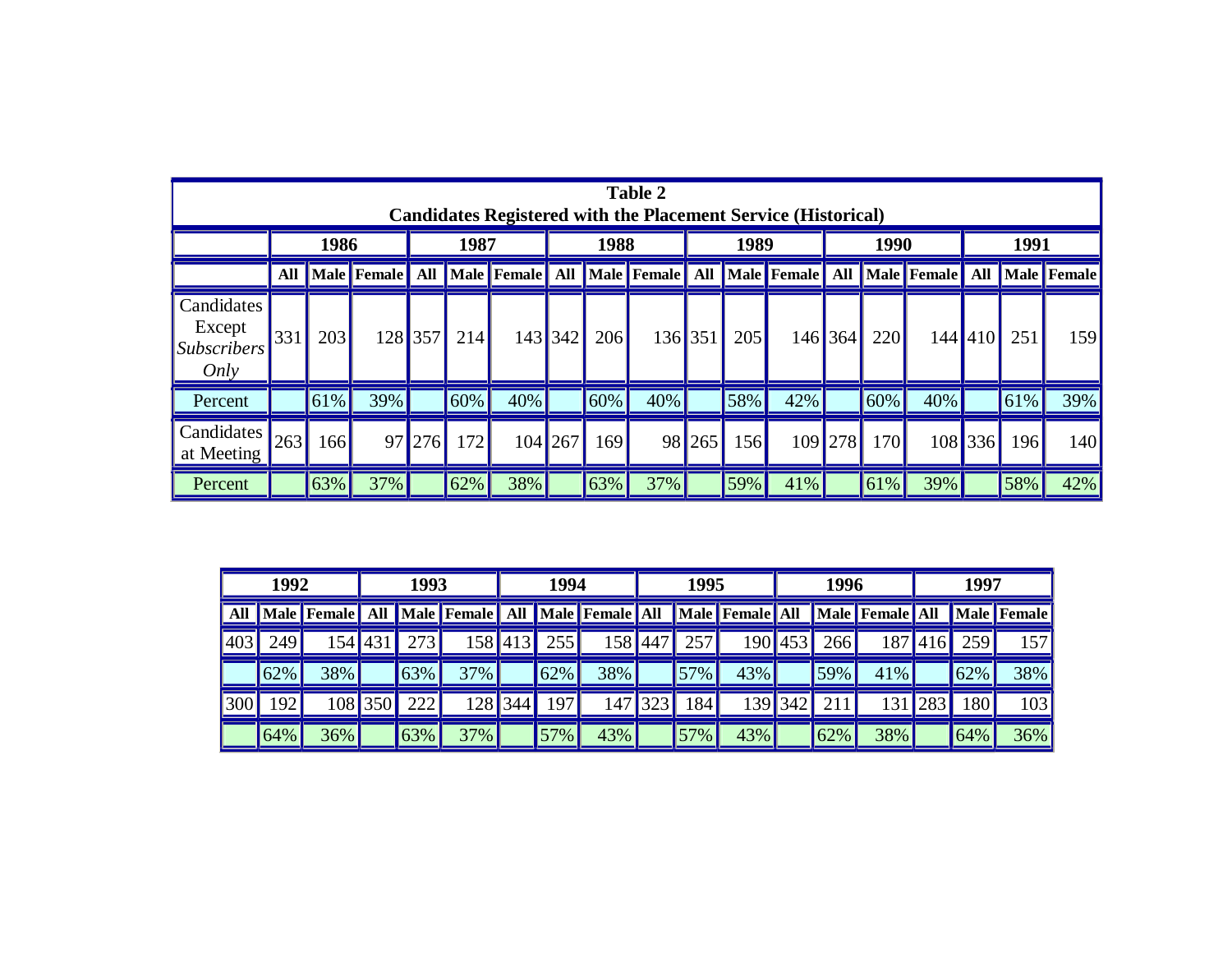| <b>Table 2</b><br><b>Candidates Registered with the Placement Service (Historical)</b> |      |     |        |         |      |     |            |     |         |        |     |                                                                                             |           |     |     |         |     |        |
|----------------------------------------------------------------------------------------|------|-----|--------|---------|------|-----|------------|-----|---------|--------|-----|---------------------------------------------------------------------------------------------|-----------|-----|-----|---------|-----|--------|
|                                                                                        | 1986 |     |        |         | 1987 |     | 1988       |     |         | 1989   |     |                                                                                             | 1990      |     |     | 1991    |     |        |
|                                                                                        | All  |     |        |         |      |     |            |     |         |        |     | Male Female All Male Female All Male Female All Male Female All Male Female All Male Female |           |     |     |         |     |        |
| Candidates<br>Except<br>$\vert$ Subscribers $\vert$<br>Only                            | 331  | 203 |        | 128 357 | 214  |     | 143 342    | 206 | 136 351 |        | 205 |                                                                                             | $146$ 364 | 220 | 144 | 410     | 251 | 159    |
| Percent                                                                                |      | 61% | 39%    |         | 60%  | 40% |            | 60% | 40%     |        | 58% | 42%                                                                                         |           | 60% | 40% |         | 61% | $39\%$ |
| Candidates<br>at Meeting                                                               | 263  | 166 |        | 97 276  | 172  |     | $104$  267 | 169 |         | 98 265 | 156 |                                                                                             | 109 278   | 170 |     | 108 336 | 196 | 140    |
| Percent                                                                                |      | 63% | $37\%$ |         | 62%  | 38% |            | 63% | 37%     |        | 59% | 41%                                                                                         |           | 61% | 39% |         | 58% | 42%    |

| 1992 |     |             | 1993    |                    |                    | 1994 |        |                        | 1995         |     |                 |         | 1996         |                 | 1997 |                  |             |
|------|-----|-------------|---------|--------------------|--------------------|------|--------|------------------------|--------------|-----|-----------------|---------|--------------|-----------------|------|------------------|-------------|
| All  |     | Male Female | All     |                    | <b>Male</b> Female | All  |        | <b>Male Female All</b> |              |     | Male Female All |         |              | Male Female All |      |                  | Male Female |
| 403  | 249 | 1541        |         | 273                | 1581               | 413  | 255    | 158                    | $\sqrt{447}$ | 257 | 190 453         |         | 266          | 187             | 416  | 259              | 157         |
|      | 62% | 38%         |         | 63%                | 37%                |      | 62%    | 38%                    |              | 57% | 43%             |         | 59%          | 41%             |      | 62%              | 38%         |
| 300  | 192 |             | 108 350 | 222                | 1281               | 344  | 197    | 147                    | 323          | 184 |                 | 139 342 | $21^{\circ}$ | 131             | 283  | 180 <sup>1</sup> | 103         |
|      | 64% | 36%         |         | $\vert 63\% \vert$ | 37%                |      | $57\%$ | 43%                    |              | 57% | 43%             |         | 62%          | 38%             |      | 64%              | 36%         |